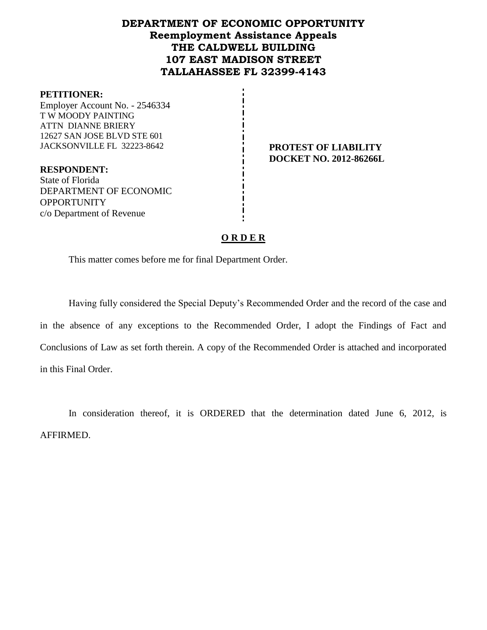# **DEPARTMENT OF ECONOMIC OPPORTUNITY Reemployment Assistance Appeals THE CALDWELL BUILDING 107 EAST MADISON STREET TALLAHASSEE FL 32399-4143**

#### **PETITIONER:**

Employer Account No. - 2546334 T W MOODY PAINTING ATTN DIANNE BRIERY 12627 SAN JOSE BLVD STE 601 JACKSONVILLE FL 32223-8642 **PROTEST OF LIABILITY**

**DOCKET NO. 2012-86266L**

**RESPONDENT:** State of Florida DEPARTMENT OF ECONOMIC **OPPORTUNITY** c/o Department of Revenue

## **O R D E R**

This matter comes before me for final Department Order.

Having fully considered the Special Deputy's Recommended Order and the record of the case and in the absence of any exceptions to the Recommended Order, I adopt the Findings of Fact and Conclusions of Law as set forth therein. A copy of the Recommended Order is attached and incorporated in this Final Order.

In consideration thereof, it is ORDERED that the determination dated June 6, 2012, is AFFIRMED.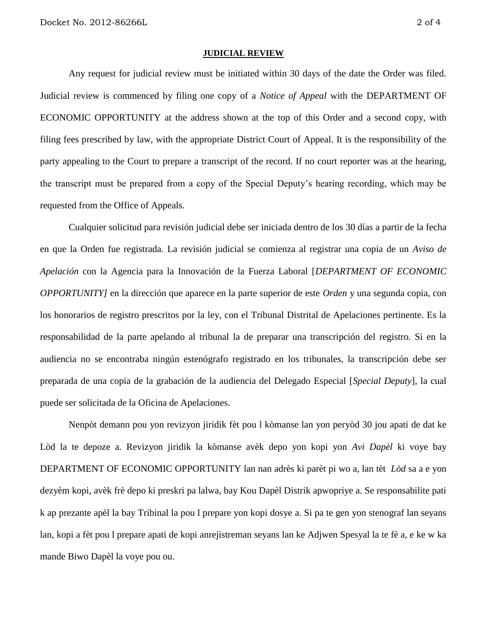#### **JUDICIAL REVIEW**

Any request for judicial review must be initiated within 30 days of the date the Order was filed. Judicial review is commenced by filing one copy of a *Notice of Appeal* with the DEPARTMENT OF ECONOMIC OPPORTUNITY at the address shown at the top of this Order and a second copy, with filing fees prescribed by law, with the appropriate District Court of Appeal. It is the responsibility of the party appealing to the Court to prepare a transcript of the record. If no court reporter was at the hearing, the transcript must be prepared from a copy of the Special Deputy's hearing recording, which may be requested from the Office of Appeals.

Cualquier solicitud para revisión judicial debe ser iniciada dentro de los 30 días a partir de la fecha en que la Orden fue registrada. La revisión judicial se comienza al registrar una copia de un *Aviso de Apelación* con la Agencia para la Innovación de la Fuerza Laboral [*DEPARTMENT OF ECONOMIC OPPORTUNITY]* en la dirección que aparece en la parte superior de este *Orden* y una segunda copia, con los honorarios de registro prescritos por la ley, con el Tribunal Distrital de Apelaciones pertinente. Es la responsabilidad de la parte apelando al tribunal la de preparar una transcripción del registro. Si en la audiencia no se encontraba ningún estenógrafo registrado en los tribunales, la transcripción debe ser preparada de una copia de la grabación de la audiencia del Delegado Especial [*Special Deputy*], la cual puede ser solicitada de la Oficina de Apelaciones.

Nenpòt demann pou yon revizyon jiridik fèt pou l kòmanse lan yon peryòd 30 jou apati de dat ke Lòd la te depoze a. Revizyon jiridik la kòmanse avèk depo yon kopi yon *Avi Dapèl* ki voye bay DEPARTMENT OF ECONOMIC OPPORTUNITY lan nan adrès ki parèt pi wo a, lan tèt *Lòd* sa a e yon dezyèm kopi, avèk frè depo ki preskri pa lalwa, bay Kou Dapèl Distrik apwopriye a. Se responsabilite pati k ap prezante apèl la bay Tribinal la pou l prepare yon kopi dosye a. Si pa te gen yon stenograf lan seyans lan, kopi a fèt pou l prepare apati de kopi anrejistreman seyans lan ke Adjwen Spesyal la te fè a, e ke w ka mande Biwo Dapèl la voye pou ou.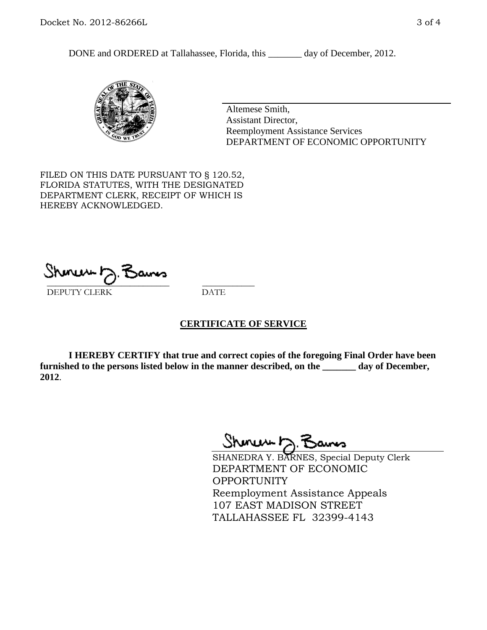DONE and ORDERED at Tallahassee, Florida, this \_\_\_\_\_\_\_ day of December, 2012.



Altemese Smith, Assistant Director, Reemployment Assistance Services DEPARTMENT OF ECONOMIC OPPORTUNITY

FILED ON THIS DATE PURSUANT TO § 120.52, FLORIDA STATUTES, WITH THE DESIGNATED DEPARTMENT CLERK, RECEIPT OF WHICH IS HEREBY ACKNOWLEDGED.

 $\overline{\phantom{a}}$  ,  $\overline{\phantom{a}}$  ,  $\overline{\phantom{a}}$  ,  $\overline{\phantom{a}}$  ,  $\overline{\phantom{a}}$  ,  $\overline{\phantom{a}}$  ,  $\overline{\phantom{a}}$  ,  $\overline{\phantom{a}}$ DEPUTY CLERK DATE

## **CERTIFICATE OF SERVICE**

**I HEREBY CERTIFY that true and correct copies of the foregoing Final Order have been furnished to the persons listed below in the manner described, on the \_\_\_\_\_\_\_ day of December, 2012**.

Shoner 5. Bans

SHANEDRA Y. BARNES, Special Deputy Clerk DEPARTMENT OF ECONOMIC OPPORTUNITY Reemployment Assistance Appeals 107 EAST MADISON STREET TALLAHASSEE FL 32399-4143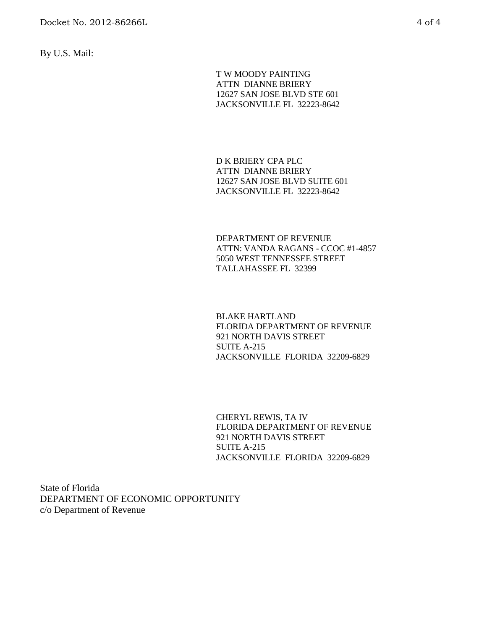By U.S. Mail:

T W MOODY PAINTING ATTN DIANNE BRIERY 12627 SAN JOSE BLVD STE 601 JACKSONVILLE FL 32223-8642

D K BRIERY CPA PLC ATTN DIANNE BRIERY 12627 SAN JOSE BLVD SUITE 601 JACKSONVILLE FL 32223-8642

DEPARTMENT OF REVENUE ATTN: VANDA RAGANS - CCOC #1-4857 5050 WEST TENNESSEE STREET TALLAHASSEE FL 32399

BLAKE HARTLAND FLORIDA DEPARTMENT OF REVENUE 921 NORTH DAVIS STREET SUITE A-215 JACKSONVILLE FLORIDA 32209-6829

CHERYL REWIS, TA IV FLORIDA DEPARTMENT OF REVENUE 921 NORTH DAVIS STREET SUITE A-215 JACKSONVILLE FLORIDA 32209-6829

State of Florida DEPARTMENT OF ECONOMIC OPPORTUNITY c/o Department of Revenue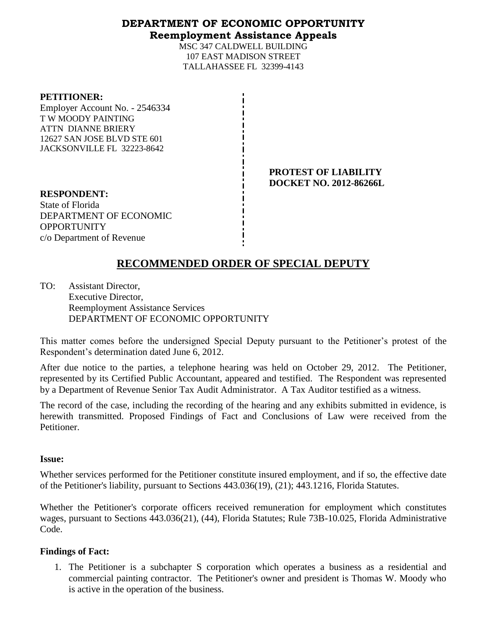## **DEPARTMENT OF ECONOMIC OPPORTUNITY Reemployment Assistance Appeals**

MSC 347 CALDWELL BUILDING 107 EAST MADISON STREET TALLAHASSEE FL 32399-4143

#### **PETITIONER:**

Employer Account No. - 2546334 T W MOODY PAINTING ATTN DIANNE BRIERY 12627 SAN JOSE BLVD STE 601 JACKSONVILLE FL 32223-8642

> **PROTEST OF LIABILITY DOCKET NO. 2012-86266L**

**RESPONDENT:** State of Florida DEPARTMENT OF ECONOMIC **OPPORTUNITY** c/o Department of Revenue

# **RECOMMENDED ORDER OF SPECIAL DEPUTY**

TO: Assistant Director, Executive Director, Reemployment Assistance Services DEPARTMENT OF ECONOMIC OPPORTUNITY

This matter comes before the undersigned Special Deputy pursuant to the Petitioner's protest of the Respondent's determination dated June 6, 2012.

After due notice to the parties, a telephone hearing was held on October 29, 2012. The Petitioner, represented by its Certified Public Accountant, appeared and testified. The Respondent was represented by a Department of Revenue Senior Tax Audit Administrator. A Tax Auditor testified as a witness.

The record of the case, including the recording of the hearing and any exhibits submitted in evidence, is herewith transmitted. Proposed Findings of Fact and Conclusions of Law were received from the Petitioner.

## **Issue:**

Whether services performed for the Petitioner constitute insured employment, and if so, the effective date of the Petitioner's liability, pursuant to Sections 443.036(19), (21); 443.1216, Florida Statutes.

Whether the Petitioner's corporate officers received remuneration for employment which constitutes wages, pursuant to Sections 443.036(21), (44), Florida Statutes; Rule 73B-10.025, Florida Administrative Code.

## **Findings of Fact:**

1. The Petitioner is a subchapter S corporation which operates a business as a residential and commercial painting contractor. The Petitioner's owner and president is Thomas W. Moody who is active in the operation of the business.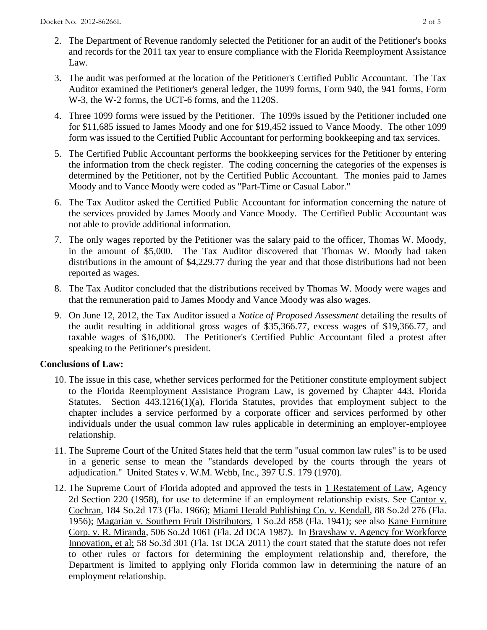- 2. The Department of Revenue randomly selected the Petitioner for an audit of the Petitioner's books and records for the 2011 tax year to ensure compliance with the Florida Reemployment Assistance Law.
- 3. The audit was performed at the location of the Petitioner's Certified Public Accountant. The Tax Auditor examined the Petitioner's general ledger, the 1099 forms, Form 940, the 941 forms, Form W-3, the W-2 forms, the UCT-6 forms, and the 1120S.
- 4. Three 1099 forms were issued by the Petitioner. The 1099s issued by the Petitioner included one for \$11,685 issued to James Moody and one for \$19,452 issued to Vance Moody. The other 1099 form was issued to the Certified Public Accountant for performing bookkeeping and tax services.
- 5. The Certified Public Accountant performs the bookkeeping services for the Petitioner by entering the information from the check register. The coding concerning the categories of the expenses is determined by the Petitioner, not by the Certified Public Accountant. The monies paid to James Moody and to Vance Moody were coded as "Part-Time or Casual Labor."
- 6. The Tax Auditor asked the Certified Public Accountant for information concerning the nature of the services provided by James Moody and Vance Moody. The Certified Public Accountant was not able to provide additional information.
- 7. The only wages reported by the Petitioner was the salary paid to the officer, Thomas W. Moody, in the amount of \$5,000. The Tax Auditor discovered that Thomas W. Moody had taken distributions in the amount of \$4,229.77 during the year and that those distributions had not been reported as wages.
- 8. The Tax Auditor concluded that the distributions received by Thomas W. Moody were wages and that the remuneration paid to James Moody and Vance Moody was also wages.
- 9. On June 12, 2012, the Tax Auditor issued a *Notice of Proposed Assessment* detailing the results of the audit resulting in additional gross wages of \$35,366.77, excess wages of \$19,366.77, and taxable wages of \$16,000. The Petitioner's Certified Public Accountant filed a protest after speaking to the Petitioner's president.

## **Conclusions of Law:**

- 10. The issue in this case, whether services performed for the Petitioner constitute employment subject to the Florida Reemployment Assistance Program Law, is governed by Chapter 443, Florida Statutes. Section 443.1216(1)(a), Florida Statutes, provides that employment subject to the chapter includes a service performed by a corporate officer and services performed by other individuals under the usual common law rules applicable in determining an employer-employee relationship.
- 11. The Supreme Court of the United States held that the term "usual common law rules" is to be used in a generic sense to mean the "standards developed by the courts through the years of adjudication." United States v. W.M. Webb, Inc., 397 U.S. 179 (1970).
- 12. The Supreme Court of Florida adopted and approved the tests in 1 Restatement of Law, Agency 2d Section 220 (1958), for use to determine if an employment relationship exists. See Cantor v. Cochran, 184 So.2d 173 (Fla. 1966); Miami Herald Publishing Co. v. Kendall, 88 So.2d 276 (Fla. 1956); Magarian v. Southern Fruit Distributors, 1 So.2d 858 (Fla. 1941); see also Kane Furniture Corp. v. R. Miranda, 506 So.2d 1061 (Fla. 2d DCA 1987). In Brayshaw v. Agency for Workforce Innovation, et al; 58 So.3d 301 (Fla. 1st DCA 2011) the court stated that the statute does not refer to other rules or factors for determining the employment relationship and, therefore, the Department is limited to applying only Florida common law in determining the nature of an employment relationship.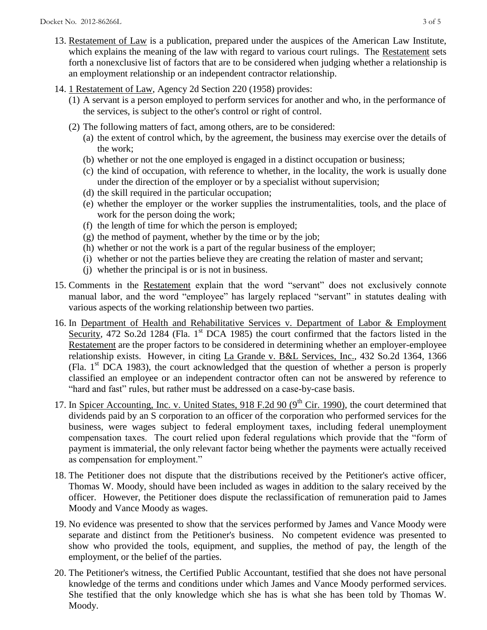- 13. Restatement of Law is a publication, prepared under the auspices of the American Law Institute, which explains the meaning of the law with regard to various court rulings. The Restatement sets forth a nonexclusive list of factors that are to be considered when judging whether a relationship is an employment relationship or an independent contractor relationship.
- 14. 1 Restatement of Law, Agency 2d Section 220 (1958) provides:
	- (1) A servant is a person employed to perform services for another and who, in the performance of the services, is subject to the other's control or right of control.
	- (2) The following matters of fact, among others, are to be considered:
		- (a) the extent of control which, by the agreement, the business may exercise over the details of the work;
		- (b) whether or not the one employed is engaged in a distinct occupation or business;
		- (c) the kind of occupation, with reference to whether, in the locality, the work is usually done under the direction of the employer or by a specialist without supervision;
		- (d) the skill required in the particular occupation;
		- (e) whether the employer or the worker supplies the instrumentalities, tools, and the place of work for the person doing the work;
		- (f) the length of time for which the person is employed;
		- (g) the method of payment, whether by the time or by the job;
		- (h) whether or not the work is a part of the regular business of the employer;
		- (i) whether or not the parties believe they are creating the relation of master and servant;
		- (j) whether the principal is or is not in business.
- 15. Comments in the Restatement explain that the word "servant" does not exclusively connote manual labor, and the word "employee" has largely replaced "servant" in statutes dealing with various aspects of the working relationship between two parties.
- 16. In Department of Health and Rehabilitative Services v. Department of Labor & Employment Security, 472 So.2d 1284 (Fla. 1<sup>st</sup> DCA 1985) the court confirmed that the factors listed in the Restatement are the proper factors to be considered in determining whether an employer-employee relationship exists. However, in citing La Grande v. B&L Services, Inc., 432 So.2d 1364, 1366 (Fla.  $1<sup>st</sup> DCA$  1983), the court acknowledged that the question of whether a person is properly classified an employee or an independent contractor often can not be answered by reference to "hard and fast" rules, but rather must be addressed on a case-by-case basis.
- 17. In Spicer Accounting, Inc. v. United States, 918 F.2d 90 (9<sup>th</sup> Cir. 1990), the court determined that dividends paid by an S corporation to an officer of the corporation who performed services for the business, were wages subject to federal employment taxes, including federal unemployment compensation taxes. The court relied upon federal regulations which provide that the "form of payment is immaterial, the only relevant factor being whether the payments were actually received as compensation for employment."
- 18. The Petitioner does not dispute that the distributions received by the Petitioner's active officer, Thomas W. Moody, should have been included as wages in addition to the salary received by the officer. However, the Petitioner does dispute the reclassification of remuneration paid to James Moody and Vance Moody as wages.
- 19. No evidence was presented to show that the services performed by James and Vance Moody were separate and distinct from the Petitioner's business. No competent evidence was presented to show who provided the tools, equipment, and supplies, the method of pay, the length of the employment, or the belief of the parties.
- 20. The Petitioner's witness, the Certified Public Accountant, testified that she does not have personal knowledge of the terms and conditions under which James and Vance Moody performed services. She testified that the only knowledge which she has is what she has been told by Thomas W. Moody.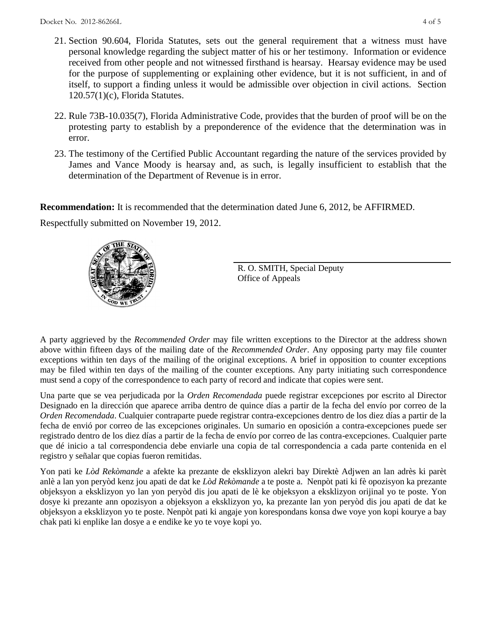- 21. Section 90.604, Florida Statutes, sets out the general requirement that a witness must have personal knowledge regarding the subject matter of his or her testimony. Information or evidence received from other people and not witnessed firsthand is hearsay. Hearsay evidence may be used for the purpose of supplementing or explaining other evidence, but it is not sufficient, in and of itself, to support a finding unless it would be admissible over objection in civil actions. Section 120.57(1)(c), Florida Statutes.
- 22. Rule 73B-10.035(7), Florida Administrative Code, provides that the burden of proof will be on the protesting party to establish by a preponderence of the evidence that the determination was in error.
- 23. The testimony of the Certified Public Accountant regarding the nature of the services provided by James and Vance Moody is hearsay and, as such, is legally insufficient to establish that the determination of the Department of Revenue is in error.

**Recommendation:** It is recommended that the determination dated June 6, 2012, be AFFIRMED.

Respectfully submitted on November 19, 2012.



R. O. SMITH, Special Deputy Office of Appeals

A party aggrieved by the *Recommended Order* may file written exceptions to the Director at the address shown above within fifteen days of the mailing date of the *Recommended Order*. Any opposing party may file counter exceptions within ten days of the mailing of the original exceptions. A brief in opposition to counter exceptions may be filed within ten days of the mailing of the counter exceptions. Any party initiating such correspondence must send a copy of the correspondence to each party of record and indicate that copies were sent.

Una parte que se vea perjudicada por la *Orden Recomendada* puede registrar excepciones por escrito al Director Designado en la dirección que aparece arriba dentro de quince días a partir de la fecha del envío por correo de la *Orden Recomendada*. Cualquier contraparte puede registrar contra-excepciones dentro de los diez días a partir de la fecha de envió por correo de las excepciones originales. Un sumario en oposición a contra-excepciones puede ser registrado dentro de los diez días a partir de la fecha de envío por correo de las contra-excepciones. Cualquier parte que dé inicio a tal correspondencia debe enviarle una copia de tal correspondencia a cada parte contenida en el registro y señalar que copias fueron remitidas.

Yon pati ke *Lòd Rekòmande* a afekte ka prezante de eksklizyon alekri bay Direktè Adjwen an lan adrès ki parèt anlè a lan yon peryòd kenz jou apati de dat ke *Lòd Rekòmande* a te poste a. Nenpòt pati ki fè opozisyon ka prezante objeksyon a eksklizyon yo lan yon peryòd dis jou apati de lè ke objeksyon a eksklizyon orijinal yo te poste. Yon dosye ki prezante ann opozisyon a objeksyon a eksklizyon yo, ka prezante lan yon peryòd dis jou apati de dat ke objeksyon a eksklizyon yo te poste. Nenpòt pati ki angaje yon korespondans konsa dwe voye yon kopi kourye a bay chak pati ki enplike lan dosye a e endike ke yo te voye kopi yo.